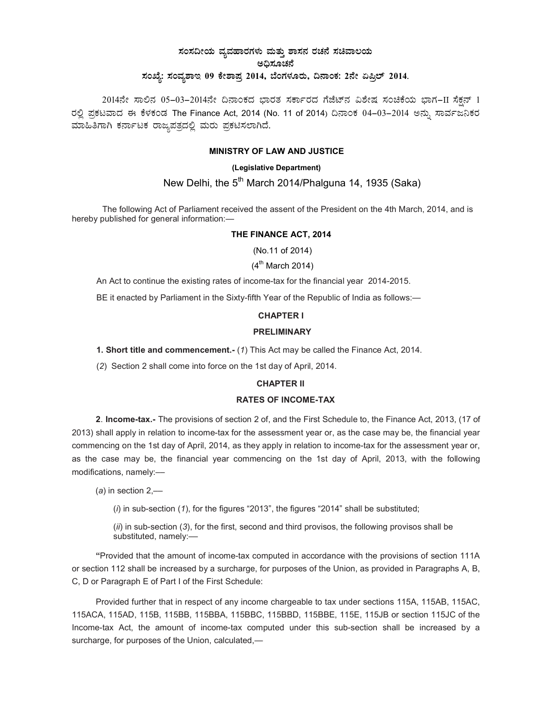# ಸಂಸದೀಯ ವ್ಯವಹಾರಗಳು ಮತ್ತು ಶಾಸನ ರಚನೆ ಸಚಿವಾಲಯ ಅಧಿಸೂಚನೆ ಸಂಖ್ಯೆ: ಸಂವ್ಯಶಾಇ 09 ಕೇಶಾಪ್ರ 2014, ಬೆಂಗಳೂರು, ದಿನಾಂಕ: 2ನೇ ಏಪ್ರಿಲ್ 2014.

2014ನೇ ಸಾಲಿನ 05-03-2014ನೇ ದಿನಾಂಕದ ಭಾರತ ಸರ್ಕಾರದ ಗೆಜೆಟ್ನ ವಿಶೇಷ ಸಂಚಿಕೆಯ ಭಾಗ-II ಸೆಕ್ಷನ್ 1 ರಲ್ಲಿ ಪ್ರಕಟವಾದ ಈ ಕೆಳಕಂಡ The Finance Act, 2014 (No. 11 of 2014) ದಿನಾಂಕ 04-03-2014 ಅನ್ನು ಸಾರ್ವಜನಿಕರ ಮಾಹಿತಿಗಾಗಿ ಕರ್ನಾಟಕ ರಾಜ್ಯಪತ್ರದಲ್ಲಿ ಮರು ಪ್ರಕಟಿಸಲಾಗಿದೆ.

## MINISTRY OF LAW AND JUSTICE

## (Legislative Department)

# New Delhi, the 5<sup>th</sup> March 2014/Phalguna 14, 1935 (Saka)

The following Act of Parliament received the assent of the President on the 4th March, 2014, and is hereby published for general information:—

#### THE FINANCE ACT, 2014

(No.11 of 2014)

## $(4^{\text{th}}$  March 2014)

An Act to continue the existing rates of income-tax for the financial year 2014-2015.

BE it enacted by Parliament in the Sixty-fifth Year of the Republic of India as follows:—

#### CHAPTER I

#### PRELIMINARY

1. Short title and commencement.- (1) This Act may be called the Finance Act, 2014.

(2) Section 2 shall come into force on the 1st day of April, 2014.

#### CHAPTER II

## RATES OF INCOME-TAX

2. Income-tax.- The provisions of section 2 of, and the First Schedule to, the Finance Act, 2013, (17 of 2013) shall apply in relation to income-tax for the assessment year or, as the case may be, the financial year commencing on the 1st day of April, 2014, as they apply in relation to income-tax for the assessment year or, as the case may be, the financial year commencing on the 1st day of April, 2013, with the following modifications, namely:-

(a) in section  $2,$ —

 $(i)$  in sub-section  $(1)$ , for the figures "2013", the figures "2014" shall be substituted;

 $(ii)$  in sub-section  $(3)$ , for the first, second and third provisos, the following provisos shall be substituted, namely:-

"Provided that the amount of income-tax computed in accordance with the provisions of section 111A or section 112 shall be increased by a surcharge, for purposes of the Union, as provided in Paragraphs A, B, C, D or Paragraph E of Part I of the First Schedule:

Provided further that in respect of any income chargeable to tax under sections 115A, 115AB, 115AC, 115ACA, 115AD, 115B, 115BB, 115BBA, 115BBC, 115BBD, 115BBE, 115E, 115JB or section 115JC of the Income-tax Act, the amount of income-tax computed under this sub-section shall be increased by a surcharge, for purposes of the Union, calculated,—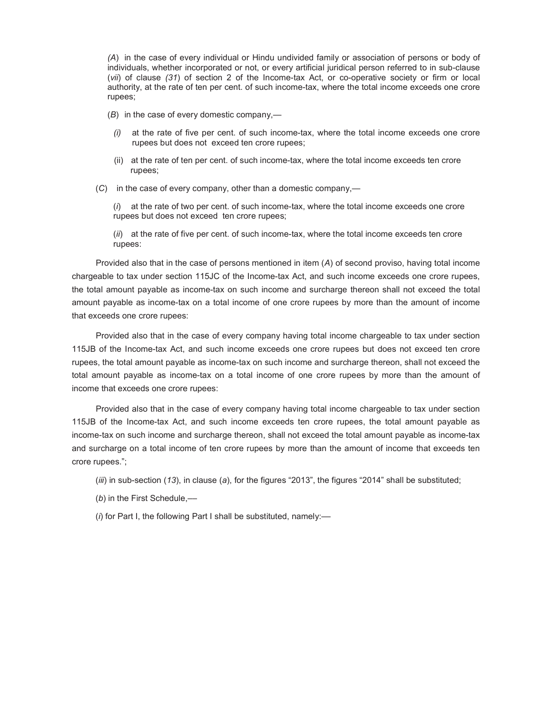(A) in the case of every individual or Hindu undivided family or association of persons or body of individuals, whether incorporated or not, or every artificial juridical person referred to in sub-clause (vii) of clause (31) of section 2 of the Income-tax Act, or co-operative society or firm or local authority, at the rate of ten per cent. of such income-tax, where the total income exceeds one crore rupees;

- (B) in the case of every domestic company,—
	- $(i)$  at the rate of five per cent. of such income-tax, where the total income exceeds one crore rupees but does not exceed ten crore rupees;
	- (ii) at the rate of ten per cent. of such income-tax, where the total income exceeds ten crore rupees;
- (C) in the case of every company, other than a domestic company,—

 $(i)$  at the rate of two per cent. of such income-tax, where the total income exceeds one crore rupees but does not exceed ten crore rupees;

(ii) at the rate of five per cent. of such income-tax, where the total income exceeds ten crore rupees:

Provided also that in the case of persons mentioned in item (A) of second proviso, having total income chargeable to tax under section 115JC of the Income-tax Act, and such income exceeds one crore rupees, the total amount payable as income-tax on such income and surcharge thereon shall not exceed the total amount payable as income-tax on a total income of one crore rupees by more than the amount of income that exceeds one crore rupees:

Provided also that in the case of every company having total income chargeable to tax under section 115JB of the Income-tax Act, and such income exceeds one crore rupees but does not exceed ten crore rupees, the total amount payable as income-tax on such income and surcharge thereon, shall not exceed the total amount payable as income-tax on a total income of one crore rupees by more than the amount of income that exceeds one crore rupees:

Provided also that in the case of every company having total income chargeable to tax under section 115JB of the Income-tax Act, and such income exceeds ten crore rupees, the total amount payable as income-tax on such income and surcharge thereon, shall not exceed the total amount payable as income-tax and surcharge on a total income of ten crore rupees by more than the amount of income that exceeds ten crore rupees.";

- (iii) in sub-section  $(13)$ , in clause (a), for the figures "2013", the figures "2014" shall be substituted;
- $(b)$  in the First Schedule,—
- (i) for Part I, the following Part I shall be substituted, namely:—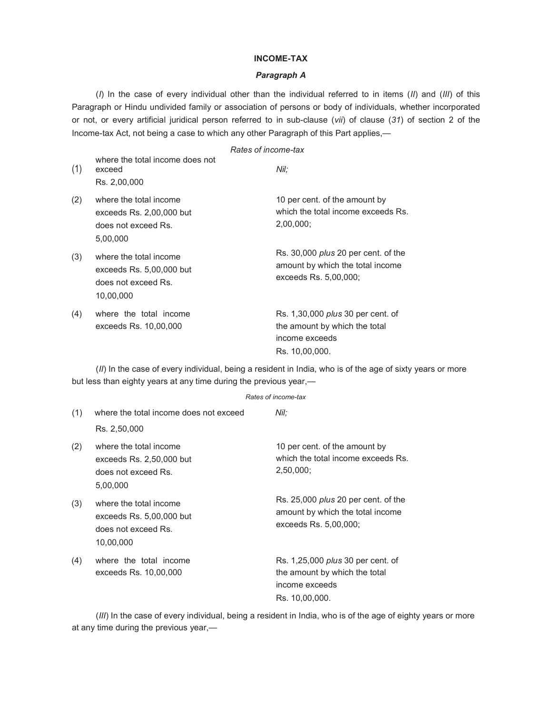#### INCOME-TAX

#### Paragraph A

(I) In the case of every individual other than the individual referred to in items (II) and (III) of this Paragraph or Hindu undivided family or association of persons or body of individuals, whether incorporated or not, or every artificial juridical person referred to in sub-clause (vii) of clause (31) of section 2 of the Income-tax Act, not being a case to which any other Paragraph of this Part applies,—

|     |                                                                                         | Rates of income-tax                                                                                           |
|-----|-----------------------------------------------------------------------------------------|---------------------------------------------------------------------------------------------------------------|
| (1) | where the total income does not<br>exceed<br>Rs. 2,00,000                               | Nil:                                                                                                          |
| (2) | where the total income<br>exceeds $Rs. 2,00,000$ but<br>does not exceed Rs.<br>5,00,000 | 10 per cent. of the amount by<br>which the total income exceeds Rs.<br>$2,00,000$ ;                           |
| (3) | where the total income<br>exceeds Rs. 5,00,000 but<br>does not exceed Rs.<br>10,00,000  | Rs. 30,000 <i>plus</i> 20 per cent. of the<br>amount by which the total income<br>exceeds Rs. 5,00,000;       |
| (4) | where the total income<br>exceeds Rs. 10,00,000                                         | Rs. 1,30,000 <i>plus</i> 30 per cent. of<br>the amount by which the total<br>income exceeds<br>Rs. 10,00,000. |

(II) In the case of every individual, being a resident in India, who is of the age of sixty years or more but less than eighty years at any time during the previous year,—

#### Rates of income-tax

| (1) | where the total income does not exceed                                                  | Nil:                                                                                                          |
|-----|-----------------------------------------------------------------------------------------|---------------------------------------------------------------------------------------------------------------|
|     | Rs. 2,50,000                                                                            |                                                                                                               |
| (2) | where the total income<br>exceeds $Rs. 2,50,000$ but<br>does not exceed Rs.<br>5,00,000 | 10 per cent. of the amount by<br>which the total income exceeds Rs.<br>2,50,000                               |
| (3) | where the total income<br>exceeds Rs. 5,00,000 but<br>does not exceed Rs.<br>10,00,000  | Rs. 25,000 <i>plus</i> 20 per cent. of the<br>amount by which the total income<br>exceeds Rs. 5,00,000;       |
| (4) | where the total income<br>exceeds Rs. 10,00,000                                         | Rs. 1,25,000 <i>plus</i> 30 per cent. of<br>the amount by which the total<br>income exceeds<br>Rs. 10,00,000. |

(III) In the case of every individual, being a resident in India, who is of the age of eighty years or more at any time during the previous year,—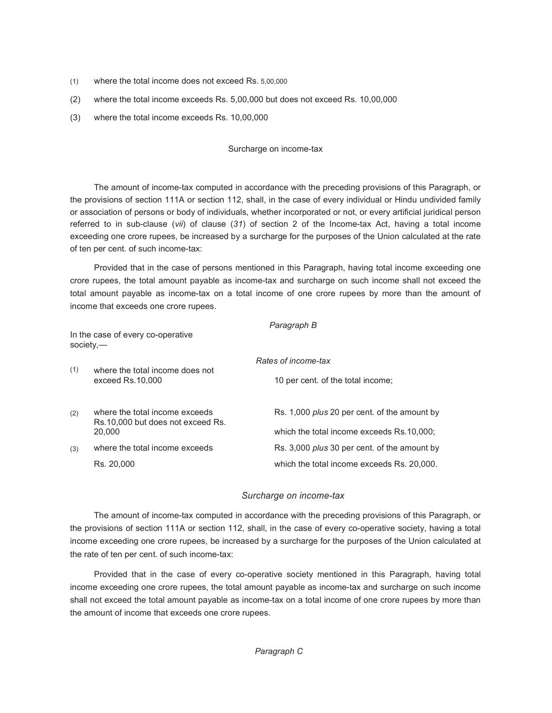- (1) where the total income does not exceed Rs. 5,00,000
- (2) where the total income exceeds Rs. 5,00,000 but does not exceed Rs. 10,00,000
- (3) where the total income exceeds Rs. 10,00,000

## Surcharge on income-tax

The amount of income-tax computed in accordance with the preceding provisions of this Paragraph, or the provisions of section 111A or section 112, shall, in the case of every individual or Hindu undivided family or association of persons or body of individuals, whether incorporated or not, or every artificial juridical person referred to in sub-clause (vii) of clause (31) of section 2 of the Income-tax Act, having a total income exceeding one crore rupees, be increased by a surcharge for the purposes of the Union calculated at the rate of ten per cent. of such income-tax:

Provided that in the case of persons mentioned in this Paragraph, having total income exceeding one crore rupees, the total amount payable as income-tax and surcharge on such income shall not exceed the total amount payable as income-tax on a total income of one crore rupees by more than the amount of income that exceeds one crore rupees.

|                                                  |                                                                               | Paragraph B                                         |  |  |
|--------------------------------------------------|-------------------------------------------------------------------------------|-----------------------------------------------------|--|--|
| In the case of every co-operative<br>$society$ — |                                                                               |                                                     |  |  |
|                                                  |                                                                               | Rates of income-tax                                 |  |  |
| (1)                                              | where the total income does not<br>exceed Rs.10,000                           | 10 per cent. of the total income;                   |  |  |
| (2)                                              | where the total income exceeds<br>Rs.10,000 but does not exceed Rs.<br>20,000 | Rs. 1,000 <i>plus</i> 20 per cent. of the amount by |  |  |
|                                                  |                                                                               | which the total income exceeds Rs.10,000;           |  |  |
| (3)                                              | where the total income exceeds                                                | Rs. 3,000 <i>plus</i> 30 per cent. of the amount by |  |  |
|                                                  | Rs. 20,000                                                                    | which the total income exceeds Rs. 20,000.          |  |  |

## Surcharge on income-tax

The amount of income-tax computed in accordance with the preceding provisions of this Paragraph, or the provisions of section 111A or section 112, shall, in the case of every co-operative society, having a total income exceeding one crore rupees, be increased by a surcharge for the purposes of the Union calculated at the rate of ten per cent. of such income-tax:

Provided that in the case of every co-operative society mentioned in this Paragraph, having total income exceeding one crore rupees, the total amount payable as income-tax and surcharge on such income shall not exceed the total amount payable as income-tax on a total income of one crore rupees by more than the amount of income that exceeds one crore rupees.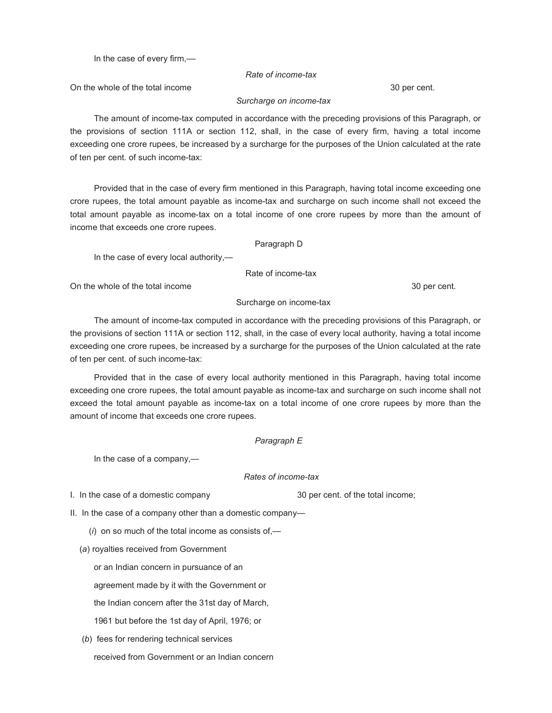In the case of every firm,––

## Rate of income-tax

On the whole of the total income 30 per cent.

## Surcharge on income-tax

The amount of income-tax computed in accordance with the preceding provisions of this Paragraph, or the provisions of section 111A or section 112, shall, in the case of every firm, having a total income exceeding one crore rupees, be increased by a surcharge for the purposes of the Union calculated at the rate of ten per cent. of such income-tax:

Provided that in the case of every firm mentioned in this Paragraph, having total income exceeding one crore rupees, the total amount payable as income-tax and surcharge on such income shall not exceed the total amount payable as income-tax on a total income of one crore rupees by more than the amount of income that exceeds one crore rupees.

### Paragraph D

In the case of every local authority,—

Rate of income-tax

On the whole of the total income 30 per cent.

### Surcharge on income-tax

The amount of income-tax computed in accordance with the preceding provisions of this Paragraph, or the provisions of section 111A or section 112, shall, in the case of every local authority, having a total income exceeding one crore rupees, be increased by a surcharge for the purposes of the Union calculated at the rate of ten per cent. of such income-tax:

Provided that in the case of every local authority mentioned in this Paragraph, having total income exceeding one crore rupees, the total amount payable as income-tax and surcharge on such income shall not exceed the total amount payable as income-tax on a total income of one crore rupees by more than the amount of income that exceeds one crore rupees.

## Paragraph E

In the case of a company,—

### Rates of income-tax

I. In the case of a domestic company 30 per cent. of the total income;

II. In the case of a company other than a domestic company—

 $(i)$  on so much of the total income as consists of,-

(a) royalties received from Government

or an Indian concern in pursuance of an

agreement made by it with the Government or

the Indian concern after the 31st day of March,

1961 but before the 1st day of April, 1976; or

(b) fees for rendering technical services

received from Government or an Indian concern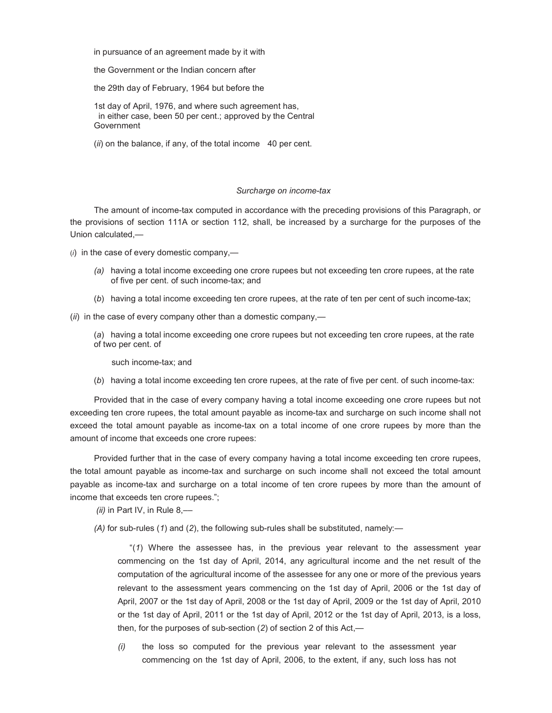in pursuance of an agreement made by it with

the Government or the Indian concern after

the 29th day of February, 1964 but before the

1st day of April, 1976, and where such agreement has, in either case, been 50 per cent.; approved by the Central Government

(ii) on the balance, if any, of the total income 40 per cent.

#### Surcharge on income-tax

The amount of income-tax computed in accordance with the preceding provisions of this Paragraph, or the provisions of section 111A or section 112, shall, be increased by a surcharge for the purposes of the Union calculated,—

(i) in the case of every domestic company,—

- (a) having a total income exceeding one crore rupees but not exceeding ten crore rupees, at the rate of five per cent. of such income-tax; and
- (b) having a total income exceeding ten crore rupees, at the rate of ten per cent of such income-tax;

 $(ii)$  in the case of every company other than a domestic company,—

(a) having a total income exceeding one crore rupees but not exceeding ten crore rupees, at the rate of two per cent. of

such income-tax; and

(b) having a total income exceeding ten crore rupees, at the rate of five per cent. of such income-tax:

Provided that in the case of every company having a total income exceeding one crore rupees but not exceeding ten crore rupees, the total amount payable as income-tax and surcharge on such income shall not exceed the total amount payable as income-tax on a total income of one crore rupees by more than the amount of income that exceeds one crore rupees:

Provided further that in the case of every company having a total income exceeding ten crore rupees, the total amount payable as income-tax and surcharge on such income shall not exceed the total amount payable as income-tax and surcharge on a total income of ten crore rupees by more than the amount of income that exceeds ten crore rupees.";

(ii) in Part IV, in Rule  $8,$ --

(A) for sub-rules (1) and (2), the following sub-rules shall be substituted, namely: $-$ 

"(1) Where the assessee has, in the previous year relevant to the assessment year commencing on the 1st day of April, 2014, any agricultural income and the net result of the computation of the agricultural income of the assessee for any one or more of the previous years relevant to the assessment years commencing on the 1st day of April, 2006 or the 1st day of April, 2007 or the 1st day of April, 2008 or the 1st day of April, 2009 or the 1st day of April, 2010 or the 1st day of April, 2011 or the 1st day of April, 2012 or the 1st day of April, 2013, is a loss, then, for the purposes of sub-section (2) of section 2 of this Act,—

(i) the loss so computed for the previous year relevant to the assessment year commencing on the 1st day of April, 2006, to the extent, if any, such loss has not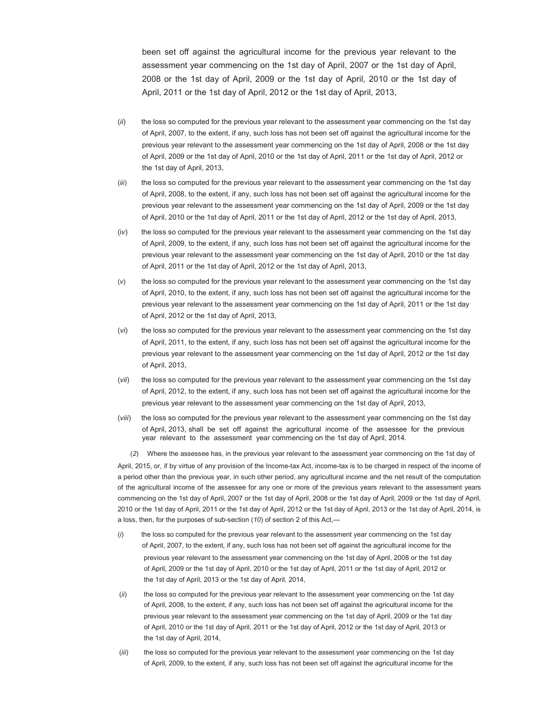been set off against the agricultural income for the previous year relevant to the assessment year commencing on the 1st day of April, 2007 or the 1st day of April, 2008 or the 1st day of April, 2009 or the 1st day of April, 2010 or the 1st day of April, 2011 or the 1st day of April, 2012 or the 1st day of April, 2013,

- $(ii)$  the loss so computed for the previous year relevant to the assessment year commencing on the 1st day of April, 2007, to the extent, if any, such loss has not been set off against the agricultural income for the previous year relevant to the assessment year commencing on the 1st day of April, 2008 or the 1st day of April, 2009 or the 1st day of April, 2010 or the 1st day of April, 2011 or the 1st day of April, 2012 or the 1st day of April, 2013,
- (iii) the loss so computed for the previous year relevant to the assessment year commencing on the 1st day of April, 2008, to the extent, if any, such loss has not been set off against the agricultural income for the previous year relevant to the assessment year commencing on the 1st day of April, 2009 or the 1st day of April, 2010 or the 1st day of April, 2011 or the 1st day of April, 2012 or the 1st day of April, 2013,
- (iv) the loss so computed for the previous year relevant to the assessment year commencing on the 1st day of April, 2009, to the extent, if any, such loss has not been set off against the agricultural income for the previous year relevant to the assessment year commencing on the 1st day of April, 2010 or the 1st day of April, 2011 or the 1st day of April, 2012 or the 1st day of April, 2013,
- (v) the loss so computed for the previous year relevant to the assessment year commencing on the 1st day of April, 2010, to the extent, if any, such loss has not been set off against the agricultural income for the previous year relevant to the assessment year commencing on the 1st day of April, 2011 or the 1st day of April, 2012 or the 1st day of April, 2013,
- (vi) the loss so computed for the previous year relevant to the assessment year commencing on the 1st day of April, 2011, to the extent, if any, such loss has not been set off against the agricultural income for the previous year relevant to the assessment year commencing on the 1st day of April, 2012 or the 1st day of April, 2013,
- (vii) the loss so computed for the previous year relevant to the assessment year commencing on the 1st day of April, 2012, to the extent, if any, such loss has not been set off against the agricultural income for the previous year relevant to the assessment year commencing on the 1st day of April, 2013,
- (viii) the loss so computed for the previous year relevant to the assessment year commencing on the 1st day of April, 2013, shall be set off against the agricultural income of the assessee for the previous year relevant to the assessment year commencing on the 1st day of April, 2014.

(2) Where the assessee has, in the previous year relevant to the assessment year commencing on the 1st day of April, 2015, or, if by virtue of any provision of the Income-tax Act, income-tax is to be charged in respect of the income of a period other than the previous year, in such other period, any agricultural income and the net result of the computation of the agricultural income of the assessee for any one or more of the previous years relevant to the assessment years commencing on the 1st day of April, 2007 or the 1st day of April, 2008 or the 1st day of April, 2009 or the 1st day of April, 2010 or the 1st day of April, 2011 or the 1st day of April, 2012 or the 1st day of April, 2013 or the 1st day of April, 2014, is a loss, then, for the purposes of sub-section (10) of section 2 of this Act,—

- $(i)$  the loss so computed for the previous year relevant to the assessment year commencing on the 1st day of April, 2007, to the extent, if any, such loss has not been set off against the agricultural income for the previous year relevant to the assessment year commencing on the 1st day of April, 2008 or the 1st day of April, 2009 or the 1st day of April, 2010 or the 1st day of April, 2011 or the 1st day of April, 2012 or the 1st day of April, 2013 or the 1st day of April, 2014,
- (ii) the loss so computed for the previous year relevant to the assessment year commencing on the 1st day of April, 2008, to the extent, if any, such loss has not been set off against the agricultural income for the previous year relevant to the assessment year commencing on the 1st day of April, 2009 or the 1st day of April, 2010 or the 1st day of April, 2011 or the 1st day of April, 2012 or the 1st day of April, 2013 or the 1st day of April, 2014,
- (iii) the loss so computed for the previous year relevant to the assessment year commencing on the 1st day of April, 2009, to the extent, if any, such loss has not been set off against the agricultural income for the